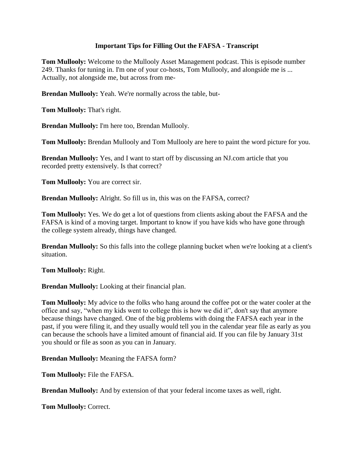### **Important Tips for Filling Out the FAFSA - Transcript**

**Tom Mullooly:** Welcome to the Mullooly Asset Management podcast. This is episode number 249. Thanks for tuning in. I'm one of your co-hosts, Tom Mullooly, and alongside me is ... Actually, not alongside me, but across from me-

**Brendan Mullooly:** Yeah. We're normally across the table, but-

**Tom Mullooly:** That's right.

**Brendan Mullooly:** I'm here too, Brendan Mullooly.

**Tom Mullooly:** Brendan Mullooly and Tom Mullooly are here to paint the word picture for you.

**Brendan Mullooly:** Yes, and I want to start off by discussing an NJ.com article that you recorded pretty extensively. Is that correct?

**Tom Mullooly:** You are correct sir.

**Brendan Mullooly:** Alright. So fill us in, this was on the FAFSA, correct?

**Tom Mullooly:** Yes. We do get a lot of questions from clients asking about the FAFSA and the FAFSA is kind of a moving target. Important to know if you have kids who have gone through the college system already, things have changed.

**Brendan Mullooly:** So this falls into the college planning bucket when we're looking at a client's situation.

**Tom Mullooly:** Right.

**Brendan Mullooly:** Looking at their financial plan.

**Tom Mullooly:** My advice to the folks who hang around the coffee pot or the water cooler at the office and say, "when my kids went to college this is how we did it", don't say that anymore because things have changed. One of the big problems with doing the FAFSA each year in the past, if you were filing it, and they usually would tell you in the calendar year file as early as you can because the schools have a limited amount of financial aid. If you can file by January 31st you should or file as soon as you can in January.

**Brendan Mullooly:** Meaning the FAFSA form?

**Tom Mullooly:** File the FAFSA.

**Brendan Mullooly:** And by extension of that your federal income taxes as well, right.

**Tom Mullooly:** Correct.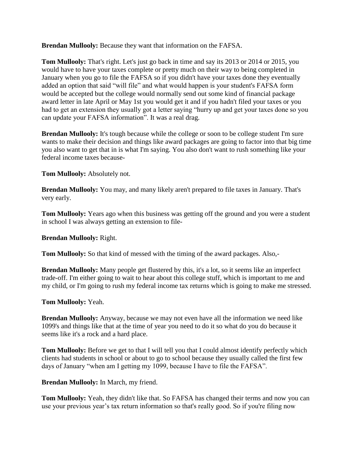**Brendan Mullooly:** Because they want that information on the FAFSA.

**Tom Mullooly:** That's right. Let's just go back in time and say its 2013 or 2014 or 2015, you would have to have your taxes complete or pretty much on their way to being completed in January when you go to file the FAFSA so if you didn't have your taxes done they eventually added an option that said "will file" and what would happen is your student's FAFSA form would be accepted but the college would normally send out some kind of financial package award letter in late April or May 1st you would get it and if you hadn't filed your taxes or you had to get an extension they usually got a letter saying "hurry up and get your taxes done so you can update your FAFSA information". It was a real drag.

**Brendan Mullooly:** It's tough because while the college or soon to be college student I'm sure wants to make their decision and things like award packages are going to factor into that big time you also want to get that in is what I'm saying. You also don't want to rush something like your federal income taxes because-

**Tom Mullooly:** Absolutely not.

**Brendan Mullooly:** You may, and many likely aren't prepared to file taxes in January. That's very early.

**Tom Mullooly:** Years ago when this business was getting off the ground and you were a student in school I was always getting an extension to file-

**Brendan Mullooly:** Right.

**Tom Mullooly:** So that kind of messed with the timing of the award packages. Also,-

**Brendan Mullooly:** Many people get flustered by this, it's a lot, so it seems like an imperfect trade-off. I'm either going to wait to hear about this college stuff, which is important to me and my child, or I'm going to rush my federal income tax returns which is going to make me stressed.

## **Tom Mullooly:** Yeah.

**Brendan Mullooly:** Anyway, because we may not even have all the information we need like 1099's and things like that at the time of year you need to do it so what do you do because it seems like it's a rock and a hard place.

**Tom Mullooly:** Before we get to that I will tell you that I could almost identify perfectly which clients had students in school or about to go to school because they usually called the first few days of January "when am I getting my 1099, because I have to file the FAFSA".

**Brendan Mullooly:** In March, my friend.

**Tom Mullooly:** Yeah, they didn't like that. So FAFSA has changed their terms and now you can use your previous year's tax return information so that's really good. So if you're filing now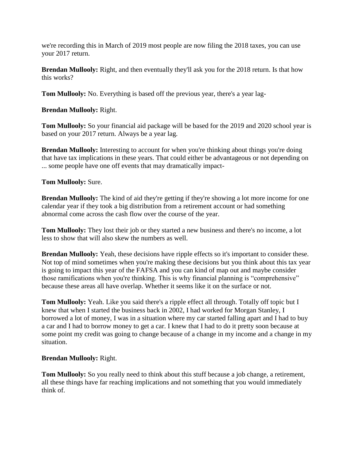we're recording this in March of 2019 most people are now filing the 2018 taxes, you can use your 2017 return.

**Brendan Mullooly:** Right, and then eventually they'll ask you for the 2018 return. Is that how this works?

**Tom Mullooly:** No. Everything is based off the previous year, there's a year lag-

**Brendan Mullooly:** Right.

**Tom Mullooly:** So your financial aid package will be based for the 2019 and 2020 school year is based on your 2017 return. Always be a year lag.

**Brendan Mullooly:** Interesting to account for when you're thinking about things you're doing that have tax implications in these years. That could either be advantageous or not depending on ... some people have one off events that may dramatically impact-

#### **Tom Mullooly:** Sure.

**Brendan Mullooly:** The kind of aid they're getting if they're showing a lot more income for one calendar year if they took a big distribution from a retirement account or had something abnormal come across the cash flow over the course of the year.

**Tom Mullooly:** They lost their job or they started a new business and there's no income, a lot less to show that will also skew the numbers as well.

**Brendan Mullooly:** Yeah, these decisions have ripple effects so it's important to consider these. Not top of mind sometimes when you're making these decisions but you think about this tax year is going to impact this year of the FAFSA and you can kind of map out and maybe consider those ramifications when you're thinking. This is why financial planning is "comprehensive" because these areas all have overlap. Whether it seems like it on the surface or not.

**Tom Mullooly:** Yeah. Like you said there's a ripple effect all through. Totally off topic but I knew that when I started the business back in 2002, I had worked for Morgan Stanley, I borrowed a lot of money, I was in a situation where my car started falling apart and I had to buy a car and I had to borrow money to get a car. I knew that I had to do it pretty soon because at some point my credit was going to change because of a change in my income and a change in my situation.

## **Brendan Mullooly:** Right.

**Tom Mullooly:** So you really need to think about this stuff because a job change, a retirement, all these things have far reaching implications and not something that you would immediately think of.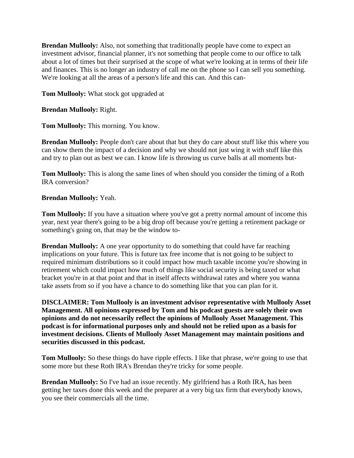**Brendan Mullooly:** Also, not something that traditionally people have come to expect an investment advisor, financial planner, it's not something that people come to our office to talk about a lot of times but their surprised at the scope of what we're looking at in terms of their life and finances. This is no longer an industry of call me on the phone so I can sell you something. We're looking at all the areas of a person's life and this can. And this can-

**Tom Mullooly:** What stock got upgraded at

**Brendan Mullooly:** Right.

**Tom Mullooly:** This morning. You know.

**Brendan Mullooly:** People don't care about that but they do care about stuff like this where you can show them the impact of a decision and why we should not just wing it with stuff like this and try to plan out as best we can. I know life is throwing us curve balls at all moments but-

**Tom Mullooly:** This is along the same lines of when should you consider the timing of a Roth IRA conversion?

#### **Brendan Mullooly:** Yeah.

**Tom Mullooly:** If you have a situation where you've got a pretty normal amount of income this year, next year there's going to be a big drop off because you're getting a retirement package or something's going on, that may be the window to-

**Brendan Mullooly:** A one year opportunity to do something that could have far reaching implications on your future. This is future tax free income that is not going to be subject to required minimum distributions so it could impact how much taxable income you're showing in retirement which could impact how much of things like social security is being taxed or what bracket you're in at that point and that in itself affects withdrawal rates and where you wanna take assets from so if you have a chance to do something like that you can plan for it.

**DISCLAIMER: Tom Mullooly is an investment advisor representative with Mullooly Asset Management. All opinions expressed by Tom and his podcast guests are solely their own opinions and do not necessarily reflect the opinions of Mullooly Asset Management. This podcast is for informational purposes only and should not be relied upon as a basis for investment decisions. Clients of Mullooly Asset Management may maintain positions and securities discussed in this podcast.**

**Tom Mullooly:** So these things do have ripple effects. I like that phrase, we're going to use that some more but these Roth IRA's Brendan they're tricky for some people.

**Brendan Mullooly:** So I've had an issue recently. My girlfriend has a Roth IRA, has been getting her taxes done this week and the preparer at a very big tax firm that everybody knows, you see their commercials all the time.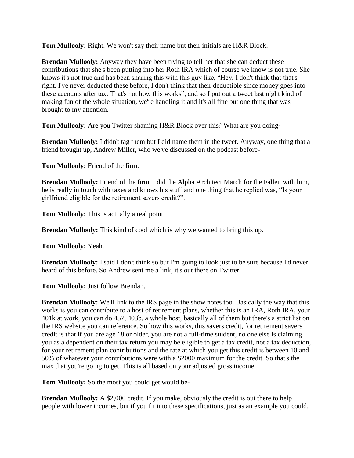**Tom Mullooly:** Right. We won't say their name but their initials are H&R Block.

**Brendan Mullooly:** Anyway they have been trying to tell her that she can deduct these contributions that she's been putting into her Roth IRA which of course we know is not true. She knows it's not true and has been sharing this with this guy like, "Hey, I don't think that that's right. I've never deducted these before, I don't think that their deductible since money goes into these accounts after tax. That's not how this works", and so I put out a tweet last night kind of making fun of the whole situation, we're handling it and it's all fine but one thing that was brought to my attention.

**Tom Mullooly:** Are you Twitter shaming H&R Block over this? What are you doing-

**Brendan Mullooly:** I didn't tag them but I did name them in the tweet. Anyway, one thing that a friend brought up, Andrew Miller, who we've discussed on the podcast before-

**Tom Mullooly:** Friend of the firm.

**Brendan Mullooly:** Friend of the firm, I did the Alpha Architect March for the Fallen with him, he is really in touch with taxes and knows his stuff and one thing that he replied was, "Is your girlfriend eligible for the retirement savers credit?".

**Tom Mullooly:** This is actually a real point.

**Brendan Mullooly:** This kind of cool which is why we wanted to bring this up.

**Tom Mullooly:** Yeah.

**Brendan Mullooly:** I said I don't think so but I'm going to look just to be sure because I'd never heard of this before. So Andrew sent me a link, it's out there on Twitter.

**Tom Mullooly:** Just follow Brendan.

**Brendan Mullooly:** We'll link to the IRS page in the show notes too. Basically the way that this works is you can contribute to a host of retirement plans, whether this is an IRA, Roth IRA, your 401k at work, you can do 457, 403b, a whole host, basically all of them but there's a strict list on the IRS website you can reference. So how this works, this savers credit, for retirement savers credit is that if you are age 18 or older, you are not a full-time student, no one else is claiming you as a dependent on their tax return you may be eligible to get a tax credit, not a tax deduction, for your retirement plan contributions and the rate at which you get this credit is between 10 and 50% of whatever your contributions were with a \$2000 maximum for the credit. So that's the max that you're going to get. This is all based on your adjusted gross income.

**Tom Mullooly:** So the most you could get would be-

**Brendan Mullooly:** A \$2,000 credit. If you make, obviously the credit is out there to help people with lower incomes, but if you fit into these specifications, just as an example you could,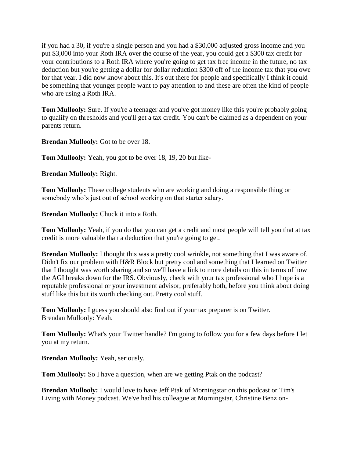if you had a 30, if you're a single person and you had a \$30,000 adjusted gross income and you put \$3,000 into your Roth IRA over the course of the year, you could get a \$300 tax credit for your contributions to a Roth IRA where you're going to get tax free income in the future, no tax deduction but you're getting a dollar for dollar reduction \$300 off of the income tax that you owe for that year. I did now know about this. It's out there for people and specifically I think it could be something that younger people want to pay attention to and these are often the kind of people who are using a Roth IRA.

**Tom Mullooly:** Sure. If you're a teenager and you've got money like this you're probably going to qualify on thresholds and you'll get a tax credit. You can't be claimed as a dependent on your parents return.

**Brendan Mullooly:** Got to be over 18.

**Tom Mullooly:** Yeah, you got to be over 18, 19, 20 but like-

**Brendan Mullooly:** Right.

**Tom Mullooly:** These college students who are working and doing a responsible thing or somebody who's just out of school working on that starter salary.

**Brendan Mullooly:** Chuck it into a Roth.

**Tom Mullooly:** Yeah, if you do that you can get a credit and most people will tell you that at tax credit is more valuable than a deduction that you're going to get.

**Brendan Mullooly:** I thought this was a pretty cool wrinkle, not something that I was aware of. Didn't fix our problem with H&R Block but pretty cool and something that I learned on Twitter that I thought was worth sharing and so we'll have a link to more details on this in terms of how the AGI breaks down for the IRS. Obviously, check with your tax professional who I hope is a reputable professional or your investment advisor, preferably both, before you think about doing stuff like this but its worth checking out. Pretty cool stuff.

**Tom Mullooly:** I guess you should also find out if your tax preparer is on Twitter. Brendan Mullooly: Yeah.

**Tom Mullooly:** What's your Twitter handle? I'm going to follow you for a few days before I let you at my return.

**Brendan Mullooly:** Yeah, seriously.

**Tom Mullooly:** So I have a question, when are we getting Ptak on the podcast?

**Brendan Mullooly:** I would love to have Jeff Ptak of Morningstar on this podcast or Tim's Living with Money podcast. We've had his colleague at Morningstar, Christine Benz on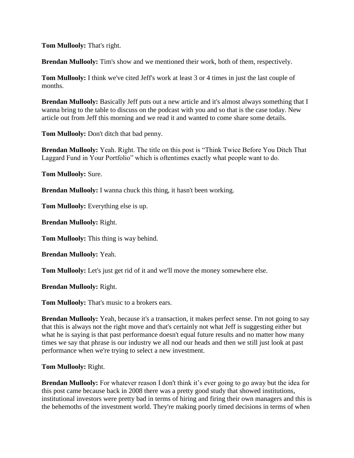**Tom Mullooly:** That's right.

**Brendan Mullooly:** Tim's show and we mentioned their work, both of them, respectively.

**Tom Mullooly:** I think we've cited Jeff's work at least 3 or 4 times in just the last couple of months.

**Brendan Mullooly:** Basically Jeff puts out a new article and it's almost always something that I wanna bring to the table to discuss on the podcast with you and so that is the case today. New article out from Jeff this morning and we read it and wanted to come share some details.

**Tom Mullooly:** Don't ditch that bad penny.

**Brendan Mullooly:** Yeah. Right. The title on this post is "Think Twice Before You Ditch That Laggard Fund in Your Portfolio" which is oftentimes exactly what people want to do.

**Tom Mullooly:** Sure.

**Brendan Mullooly:** I wanna chuck this thing, it hasn't been working.

**Tom Mullooly:** Everything else is up.

**Brendan Mullooly:** Right.

**Tom Mullooly:** This thing is way behind.

**Brendan Mullooly:** Yeah.

**Tom Mullooly:** Let's just get rid of it and we'll move the money somewhere else.

**Brendan Mullooly:** Right.

**Tom Mullooly:** That's music to a brokers ears.

**Brendan Mullooly:** Yeah, because it's a transaction, it makes perfect sense. I'm not going to say that this is always not the right move and that's certainly not what Jeff is suggesting either but what he is saying is that past performance doesn't equal future results and no matter how many times we say that phrase is our industry we all nod our heads and then we still just look at past performance when we're trying to select a new investment.

#### **Tom Mullooly:** Right.

**Brendan Mullooly:** For whatever reason I don't think it's ever going to go away but the idea for this post came because back in 2008 there was a pretty good study that showed institutions, institutional investors were pretty bad in terms of hiring and firing their own managers and this is the behemoths of the investment world. They're making poorly timed decisions in terms of when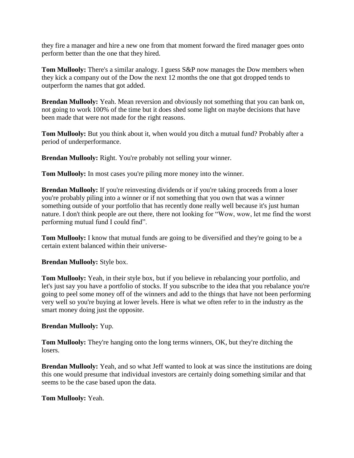they fire a manager and hire a new one from that moment forward the fired manager goes onto perform better than the one that they hired.

**Tom Mullooly:** There's a similar analogy. I guess S&P now manages the Dow members when they kick a company out of the Dow the next 12 months the one that got dropped tends to outperform the names that got added.

**Brendan Mullooly:** Yeah. Mean reversion and obviously not something that you can bank on, not going to work 100% of the time but it does shed some light on maybe decisions that have been made that were not made for the right reasons.

**Tom Mullooly:** But you think about it, when would you ditch a mutual fund? Probably after a period of underperformance.

**Brendan Mullooly:** Right. You're probably not selling your winner.

**Tom Mullooly:** In most cases you're piling more money into the winner.

**Brendan Mullooly:** If you're reinvesting dividends or if you're taking proceeds from a loser you're probably piling into a winner or if not something that you own that was a winner something outside of your portfolio that has recently done really well because it's just human nature. I don't think people are out there, there not looking for "Wow, wow, let me find the worst performing mutual fund I could find".

**Tom Mullooly:** I know that mutual funds are going to be diversified and they're going to be a certain extent balanced within their universe-

**Brendan Mullooly:** Style box.

**Tom Mullooly:** Yeah, in their style box, but if you believe in rebalancing your portfolio, and let's just say you have a portfolio of stocks. If you subscribe to the idea that you rebalance you're going to peel some money off of the winners and add to the things that have not been performing very well so you're buying at lower levels. Here is what we often refer to in the industry as the smart money doing just the opposite.

# **Brendan Mullooly:** Yup.

**Tom Mullooly:** They're hanging onto the long terms winners, OK, but they're ditching the losers.

**Brendan Mullooly:** Yeah, and so what Jeff wanted to look at was since the institutions are doing this one would presume that individual investors are certainly doing something similar and that seems to be the case based upon the data.

## **Tom Mullooly:** Yeah.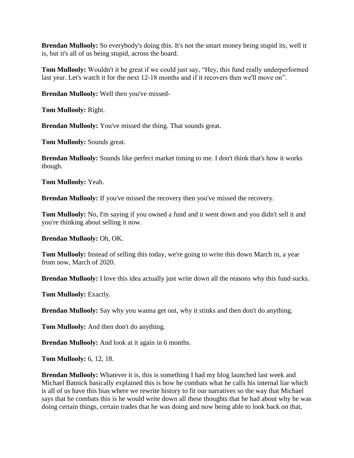**Brendan Mullooly:** So everybody's doing this. It's not the smart money being stupid its, well it is, but it's all of us being stupid, across the board.

**Tom Mullooly:** Wouldn't it be great if we could just say, "Hey, this fund really underperformed last year. Let's watch it for the next 12-18 months and if it recovers then we'll move on".

**Brendan Mullooly:** Well then you've missed-

**Tom Mullooly:** Right.

**Brendan Mullooly:** You've missed the thing. That sounds great.

**Tom Mullooly:** Sounds great.

**Brendan Mullooly:** Sounds like perfect market timing to me. I don't think that's how it works though.

**Tom Mullooly:** Yeah.

**Brendan Mullooly:** If you've missed the recovery then you've missed the recovery.

**Tom Mullooly:** No, I'm saying if you owned a fund and it went down and you didn't sell it and you're thinking about selling it now.

**Brendan Mullooly:** Oh, OK.

**Tom Mullooly:** Instead of selling this today, we're going to write this down March in, a year from now, March of 2020.

**Brendan Mullooly:** I love this idea actually just write down all the reasons why this fund sucks.

**Tom Mullooly:** Exactly.

**Brendan Mullooly:** Say why you wanna get out, why it stinks and then don't do anything.

**Tom Mullooly:** And then don't do anything.

**Brendan Mullooly:** And look at it again in 6 months.

**Tom Mullooly:** 6, 12, 18.

**Brendan Mullooly:** Whatever it is, this is something I had my blog launched last week and Michael Batnick basically explained this is how he combats what he calls his internal liar which is all of us have this bias where we rewrite history to fit our narratives so the way that Michael says that he combats this is he would write down all these thoughts that he had about why he was doing certain things, certain trades that he was doing and now being able to look back on that,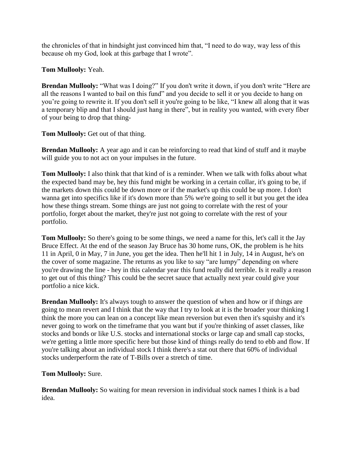the chronicles of that in hindsight just convinced him that, "I need to do way, way less of this because oh my God, look at this garbage that I wrote".

# **Tom Mullooly:** Yeah.

**Brendan Mullooly:** "What was I doing?" If you don't write it down, if you don't write "Here are all the reasons I wanted to bail on this fund" and you decide to sell it or you decide to hang on you're going to rewrite it. If you don't sell it you're going to be like, "I knew all along that it was a temporary blip and that I should just hang in there", but in reality you wanted, with every fiber of your being to drop that thing-

**Tom Mullooly:** Get out of that thing.

**Brendan Mullooly:** A year ago and it can be reinforcing to read that kind of stuff and it maybe will guide you to not act on your impulses in the future.

**Tom Mullooly:** I also think that that kind of is a reminder. When we talk with folks about what the expected band may be, hey this fund might be working in a certain collar, it's going to be, if the markets down this could be down more or if the market's up this could be up more. I don't wanna get into specifics like if it's down more than 5% we're going to sell it but you get the idea how these things stream. Some things are just not going to correlate with the rest of your portfolio, forget about the market, they're just not going to correlate with the rest of your portfolio.

**Tom Mullooly:** So there's going to be some things, we need a name for this, let's call it the Jay Bruce Effect. At the end of the season Jay Bruce has 30 home runs, OK, the problem is he hits 11 in April, 0 in May, 7 in June, you get the idea. Then he'll hit 1 in July, 14 in August, he's on the cover of some magazine. The returns as you like to say "are lumpy" depending on where you're drawing the line - hey in this calendar year this fund really did terrible. Is it really a reason to get out of this thing? This could be the secret sauce that actually next year could give your portfolio a nice kick.

**Brendan Mullooly:** It's always tough to answer the question of when and how or if things are going to mean revert and I think that the way that I try to look at it is the broader your thinking I think the more you can lean on a concept like mean reversion but even then it's squishy and it's never going to work on the timeframe that you want but if you're thinking of asset classes, like stocks and bonds or like U.S. stocks and international stocks or large cap and small cap stocks, we're getting a little more specific here but those kind of things really do tend to ebb and flow. If you're talking about an individual stock I think there's a stat out there that 60% of individual stocks underperform the rate of T-Bills over a stretch of time.

# **Tom Mullooly:** Sure.

**Brendan Mullooly:** So waiting for mean reversion in individual stock names I think is a bad idea.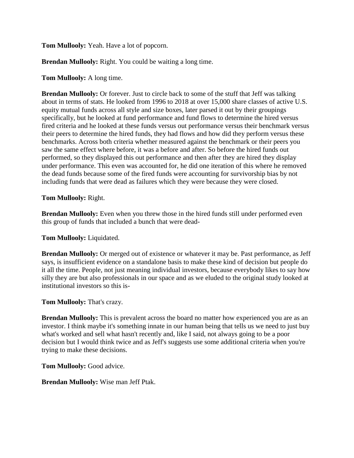**Tom Mullooly:** Yeah. Have a lot of popcorn.

**Brendan Mullooly:** Right. You could be waiting a long time.

### **Tom Mullooly:** A long time.

**Brendan Mullooly:** Or forever. Just to circle back to some of the stuff that Jeff was talking about in terms of stats. He looked from 1996 to 2018 at over 15,000 share classes of active U.S. equity mutual funds across all style and size boxes, later parsed it out by their groupings specifically, but he looked at fund performance and fund flows to determine the hired versus fired criteria and he looked at these funds versus out performance versus their benchmark versus their peers to determine the hired funds, they had flows and how did they perform versus these benchmarks. Across both criteria whether measured against the benchmark or their peers you saw the same effect where before, it was a before and after. So before the hired funds out performed, so they displayed this out performance and then after they are hired they display under performance. This even was accounted for, he did one iteration of this where he removed the dead funds because some of the fired funds were accounting for survivorship bias by not including funds that were dead as failures which they were because they were closed.

#### **Tom Mullooly:** Right.

**Brendan Mullooly:** Even when you threw those in the hired funds still under performed even this group of funds that included a bunch that were dead-

#### **Tom Mullooly:** Liquidated.

**Brendan Mullooly:** Or merged out of existence or whatever it may be. Past performance, as Jeff says, is insufficient evidence on a standalone basis to make these kind of decision but people do it all the time. People, not just meaning individual investors, because everybody likes to say how silly they are but also professionals in our space and as we eluded to the original study looked at institutional investors so this is-

#### **Tom Mullooly:** That's crazy.

**Brendan Mullooly:** This is prevalent across the board no matter how experienced you are as an investor. I think maybe it's something innate in our human being that tells us we need to just buy what's worked and sell what hasn't recently and, like I said, not always going to be a poor decision but I would think twice and as Jeff's suggests use some additional criteria when you're trying to make these decisions.

**Tom Mullooly:** Good advice.

**Brendan Mullooly:** Wise man Jeff Ptak.